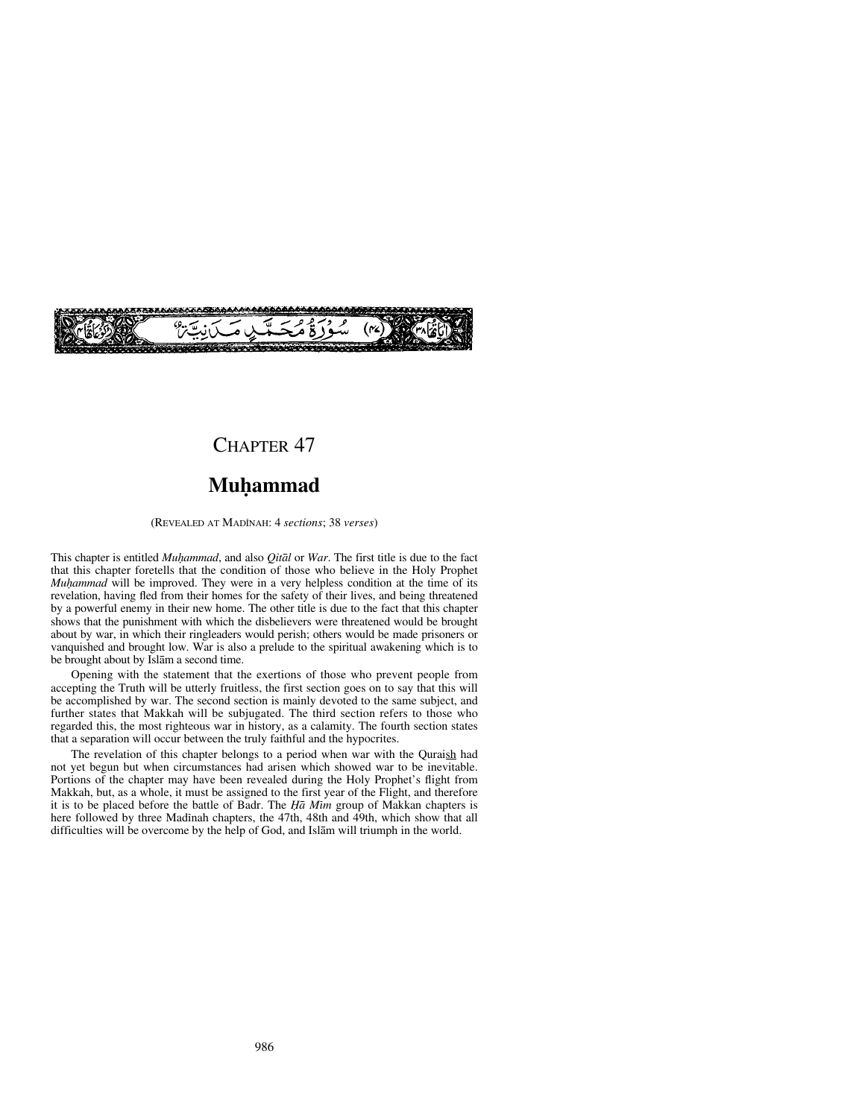

## CHAPTER<sub>47</sub>

# **Muƒammad**

(REVEALED AT MADÍNAH: 4 *sections*; 38 *verses*)

This chapter is entitled *Mu√ammad*, and also *Qitål* or *War*. The first title is due to the fact that this chapter foretells that the condition of those who believe in the Holy Prophet *Muhammad* will be improved. They were in a very helpless condition at the time of its revelation, having fled from their homes for the safety of their lives, and being threatened by a powerful enemy in their new home. The other title is due to the fact that this chapter shows that the punishment with which the disbelievers were threatened would be brought about by war, in which their ringleaders would perish; others would be made prisoners or vanquished and brought low. War is also a prelude to the spiritual awakening which is to be brought about by Islåm a second time.

Opening with the statement that the exertions of those who prevent people from accepting the Truth will be utterly fruitless, the first section goes on to say that this will be accomplished by war. The second section is mainly devoted to the same subject, and further states that Makkah will be subjugated. The third section refers to those who regarded this, the most righteous war in history, as a calamity. The fourth section states that a separation will occur between the truly faithful and the hypocrites.

The revelation of this chapter belongs to a period when war with the Quraish had not yet begun but when circumstances had arisen which showed war to be inevitable. Portions of the chapter may have been revealed during the Holy Prophet's flight from Makkah, but, as a whole, it must be assigned to the first year of the Flight, and therefore it is to be placed before the battle of Badr. The *Ha Mim* group of Makkan chapters is here followed by three Madinah chapters, the 47th, 48th and 49th, which show that all difficulties will be overcome by the help of God, and Islåm will triumph in the world.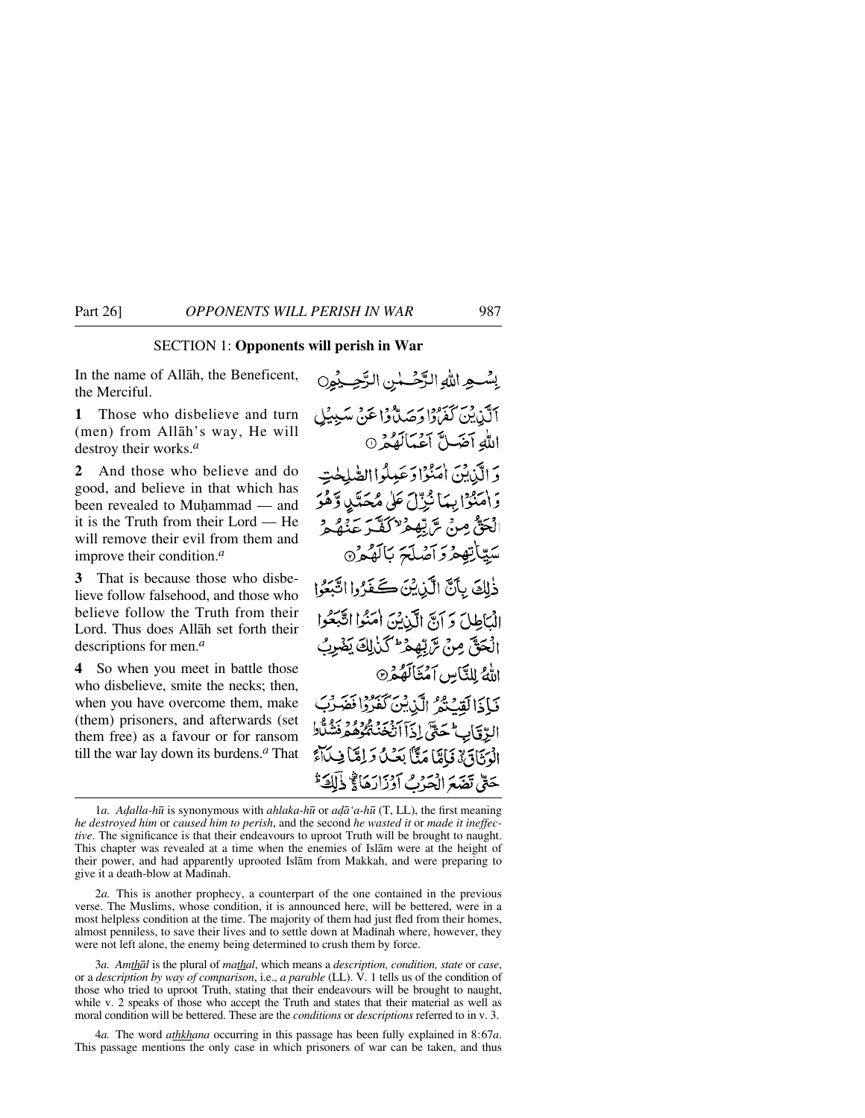### SECTION 1: **Opponents will perish in War**

In the name of Allåh, the Beneficent, the Merciful.

**1** Those who disbelieve and turn (men) from Allåh's way, He will destroy their works.*<sup>a</sup>*

**2** And those who believe and do good, and believe in that which has been revealed to Muhammad — and it is the Truth from their Lord — He will remove their evil from them and improve their condition.*<sup>a</sup>*

**3** That is because those who disbelieve follow falsehood, and those who believe follow the Truth from their Lord. Thus does Allåh set forth their descriptions for men.*<sup>a</sup>*

**4** So when you meet in battle those who disbelieve, smite the necks; then, when you have overcome them, make (them) prisoners, and afterwards (set them free) as a favour or for ransom till the war lay down its burdens.*<sup>a</sup>* That

بِسْعِ اللَّهِ الرَّحْسُنِ الرَّحِيْمِِنِ أَلَّذِينَ كَفَرُوْا وَجَدَلَّهُ وَا عَنْ سَبِيبُلِ اللهِ آضَلَّ آعَبَالَهُمْ 0 دَ الَّذِينَ اٰمَنُوْا دَعَبِيلُوا الصَّلِحْتِ دَ اٰمَنْوَا بِيَا نَبِّهِ ۖ عَلَى مُحَدَّىٰ دَّهُوَ الْحَقُّ مِنْ تَرَبُّعِيْرٌ لَكُنَّهَ عَنْهُ هُ سَيِّيَاتِهِعْرَدَ آصُلَحَ بَالَهُعْرُ® ذٰلِكَ بِأَنَّ الْبَدِيْنَ كَجَدَّدُوا اتَّنَعُوا الْبَاطِلَ وَ آنَّ الَّذِينَ امَنُوا اتَّبَعُوا الْحَقَّ مِنْ تَرَبِّهِمْ عَلَىٰ لِكَ يَضْرِبُ اللَّهُ لِلنَّامِينِ آمَنَاكَهُمْرَ فَبَاذَالَقِيْتُمُ الَّذِينَ كَفَرُدًا فَقَد الِدَّقَابِ مُحَتَّى إِذَآ أَنْخَذْ مُحُوْمُهُ مِنْشُلَّالِ الْمَنَادَ بِيْ فَامِيًّا مَثًّا بَعَيْنَ وَلِمَّا فِيلَاَّءَ حَتَّىٰ نَضَعَ الْحَدُثِ أَدْزَارَهَا لَجْ ذَلَكَ َّ

2*a.* This is another prophecy, a counterpart of the one contained in the previous verse. The Muslims, whose condition, it is announced here, will be bettered, were in a most helpless condition at the time. The majority of them had just fled from their homes, almost penniless, to save their lives and to settle down at Madinah where, however, they were not left alone, the enemy being determined to crush them by force.

3*a. Amthål* is the plural of *mathal*, which means a *description, condition, state* or *case*, or a *description by way of comparison*, i.e., *a parable* (LL). V. 1 tells us of the condition of those who tried to uproot Truth, stating that their endeavours will be brought to naught, while v. 2 speaks of those who accept the Truth and states that their material as well as moral condition will be bettered. These are the *conditions* or *descriptions* referred to in v. 3.

4*a.* The word *athkhana* occurring in this passage has been fully explained in 8:67*a*. This passage mentions the only case in which prisoners of war can be taken, and thus

<sup>1</sup>*a. A˙alla-h∂* is synonymous with *ahlaka-h∂* or *a˙å'a-h∂* (T, LL), the first meaning *he destroyed him* or *caused him to perish*, and the second *he wasted it* or *made it ineffective*. The significance is that their endeavours to uproot Truth will be brought to naught. This chapter was revealed at a time when the enemies of Islåm were at the height of their power, and had apparently uprooted Islåm from Makkah, and were preparing to give it a death-blow at Madinah.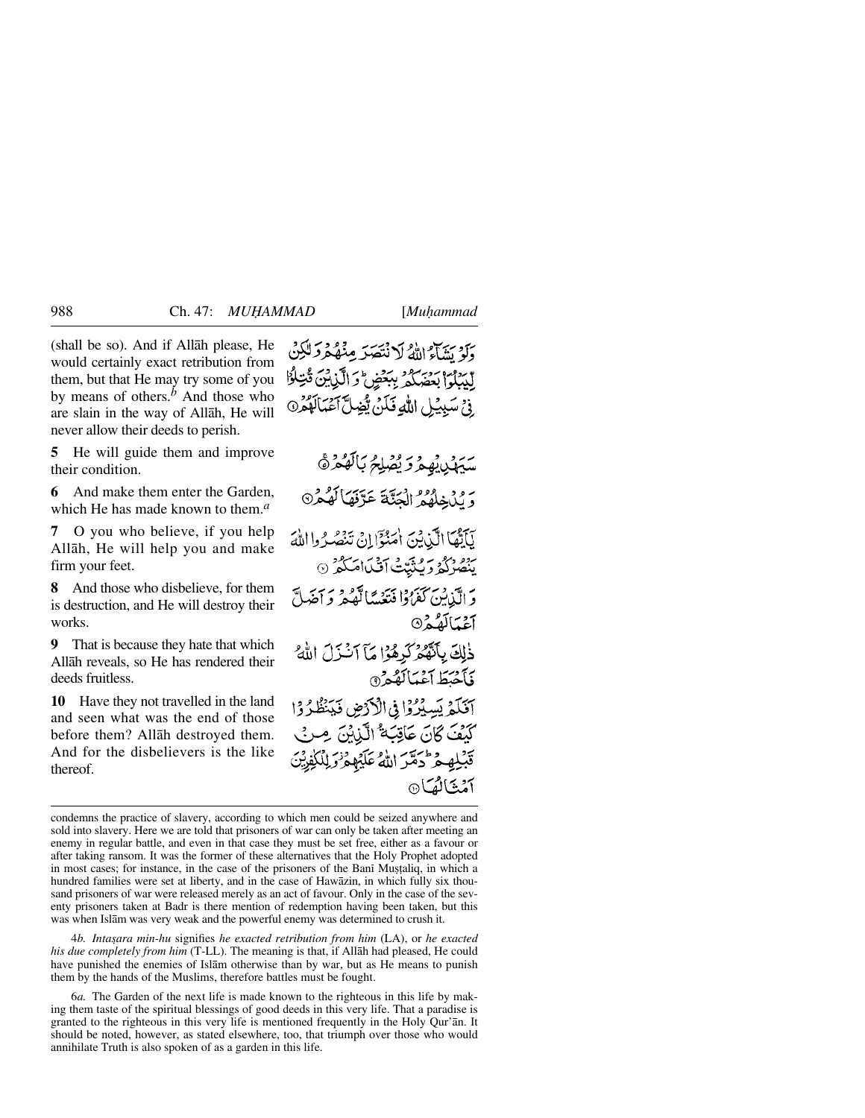(shall be so). And if Allåh please, He would certainly exact retribution from them, but that He may try some of you by means of others.*<sup>b</sup>* And those who are slain in the way of Allåh, He will never allow their deeds to perish.

**5** He will guide them and improve their condition.

**6** And make them enter the Garden, which He has made known to them.*<sup>a</sup>*

**7** O you who believe, if you help Allåh, He will help you and make firm your feet.

**8** And those who disbelieve, for them is destruction, and He will destroy their works.

**9** That is because they hate that which Allåh reveals, so He has rendered their deeds fruitless.

**10** Have they not travelled in the land and seen what was the end of those before them? Allåh destroyed them. And for the disbelievers is the like thereof.

دَبِر سَيْءٍ إِنَّهُ لَا نُتَصَدِّ مِنْهُكُرْدَ لَلْكِنَّ البيلوا بعضكه يبغض والذنبئ قتالوا وْعْ سَبِيْلِ اللَّهِ فَكَنْ يّْخِطَّ آعْمَالَهُ

يەر ئەمرىر بەر ئالگەر ئ ر وديد وه الحياء عرّفها لَهُ مْ نَاتِفَا الَّيْدِينَ أُمَنُوْٓا!نْ نَنْصُدُوااللَّهَ رود در به سوی به دسازی در ۱<br>بنصر که وکنتیت افیلام که ۱۵ وَ الَّذِينَ كَفَرُوْا فَتَعَبَّدَنَّا لَّهُ هُمْ وَ آخَهَلَّ آغيالَهُ وه ذٰلِكَ بِأَنَّهُمُ كَرِهُوْا مَآ آَنَزَلَ اللَّهُ فأختط أغنائقهم آفَلَهُ يَسِيْرُوْا فِي الْأَدْضِ فَيَنْظُرُوْا كَنْفَ ݣَانَ عَاقِبَهْ ْالّْذِبْنَ مِيرِ بِي قَيْبِلْهِ مِرْحُمْتُهُمْ اللَّهُ عَلَيْهِمْ نَوَ لِلْكَفِينَ آمُنَّالُ*ُ*کَ®

4*b. Inta©ara min-hu* signifies *he exacted retribution from him* (LA), or *he exacted his due completely from him* (T-LL). The meaning is that, if Allåh had pleased, He could have punished the enemies of Islåm otherwise than by war, but as He means to punish them by the hands of the Muslims, therefore battles must be fought.

6*a.* The Garden of the next life is made known to the righteous in this life by making them taste of the spiritual blessings of good deeds in this very life. That a paradise is granted to the righteous in this very life is mentioned frequently in the Holy Qur'ån. It should be noted, however, as stated elsewhere, too, that triumph over those who would annihilate Truth is also spoken of as a garden in this life.

condemns the practice of slavery, according to which men could be seized anywhere and sold into slavery. Here we are told that prisoners of war can only be taken after meeting an enemy in regular battle, and even in that case they must be set free, either as a favour or after taking ransom. It was the former of these alternatives that the Holy Prophet adopted in most cases; for instance, in the case of the prisoners of the Bani Mușțaliq, in which a hundred families were set at liberty, and in the case of Hawåzin, in which fully six thousand prisoners of war were released merely as an act of favour. Only in the case of the seventy prisoners taken at Badr is there mention of redemption having been taken, but this was when Islåm was very weak and the powerful enemy was determined to crush it.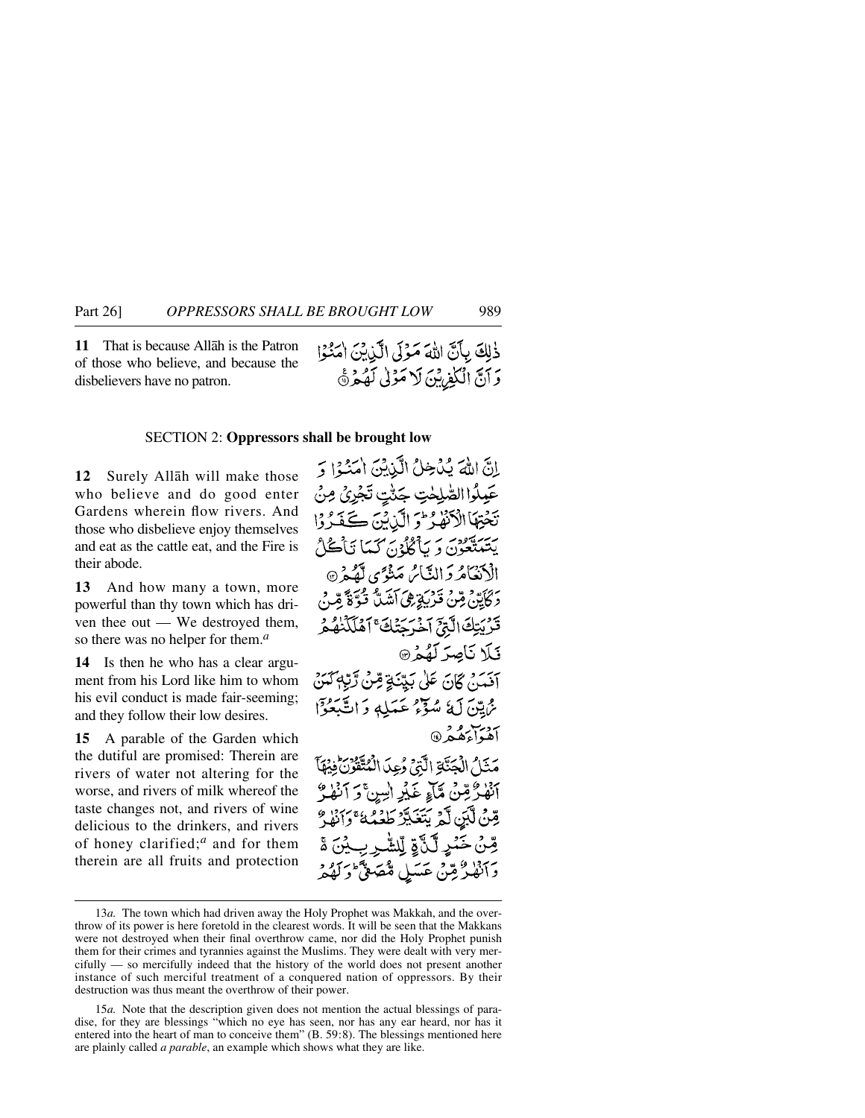**11** That is because Allåh is the Patron of those who believe, and because the disbelievers have no patron.

#### SECTION 2: **Oppressors shall be brought low**

**12** Surely Allåh will make those who believe and do good enter Gardens wherein flow rivers. And those who disbelieve enjoy themselves and eat as the cattle eat, and the Fire is their abode.

**13** And how many a town, more powerful than thy town which has driven thee out — We destroyed them, so there was no helper for them.*<sup>a</sup>*

**14** Is then he who has a clear argument from his Lord like him to whom his evil conduct is made fair-seeming; and they follow their low desires.

**15** A parable of the Garden which the dutiful are promised: Therein are rivers of water not altering for the worse, and rivers of milk whereof the taste changes not, and rivers of wine delicious to the drinkers, and rivers of honey clarified;*<sup>a</sup>* and for them therein are all fruits and protection

إِنَّ اللَّهَ بُدُخِلُ الَّذِبْنَ اٰمَنُوْا ﴾ عَيِلُوا الصَّلِحْتِ جَنَّتٍ تَجْرِئُ مِنْ تَحْتِهَا الْأَنْهَٰدُ \* وَ الَّذِيْنَ كَشَدَّدُوْا يَتَنَتَّعُونَ وَ يَأْكُلُوْنَ كَمَا تَأْكُلُ الْأَنْعَامُرُ وَالنَّاسُ مَنْوَى لَّهُ مِرْ۞ دَ كَأَبَيْنَ مِّنْ قَدْرَبَةٍ هِيَ آَشَدَةٌ قَبَةٌ قَدْ قَدْنَ قَرْبَتِكَ الَّذِحَ آخْرَجَنُكَ ۚ آَهۡلَكۡنٰهُ هُرَ فَلَا نَاصِرَ لَهُمْ آفَمَنْ كَانَ عَلَىٰ بَيِّنَةِ قِنْ رَّبِّهِ كَمَنْ ثَرَامِينَ لَهُ مُبَوَّعُ عَبَيْلِهِ وَاتَّبَعُوْاً ردسوم<br>أهواءهُمُر@ مَثَلُ الْجَنَّاةِ الَّتِيْ رُعِدَ الْمُتَّقَوْنَ فِيهَا أَنْهَٰدٌ قِنْ مَّآءٍ غَيْرِ اٰسِنَّ دَ ٱ قِينُ لَّكِينَ لَّهُ بَتَغَيَّرُ طَعُمُهُ ۚ وَإِنَّ قِنْ خَمْرِ لَّيْ َةِ لِّلشَّرِ بِ2َنَ ةَ دَانْهْلُرْقِينْ عَسَلِ مُّصَعِّيٍّ وَلَهِ

<sup>13</sup>*a.* The town which had driven away the Holy Prophet was Makkah, and the overthrow of its power is here foretold in the clearest words. It will be seen that the Makkans were not destroyed when their final overthrow came, nor did the Holy Prophet punish them for their crimes and tyrannies against the Muslims. They were dealt with very mercifully — so mercifully indeed that the history of the world does not present another instance of such merciful treatment of a conquered nation of oppressors. By their destruction was thus meant the overthrow of their power.

<sup>15</sup>*a.* Note that the description given does not mention the actual blessings of paradise, for they are blessings "which no eye has seen, nor has any ear heard, nor has it entered into the heart of man to conceive them" (B. 59:8). The blessings mentioned here are plainly called *a parable*, an example which shows what they are like.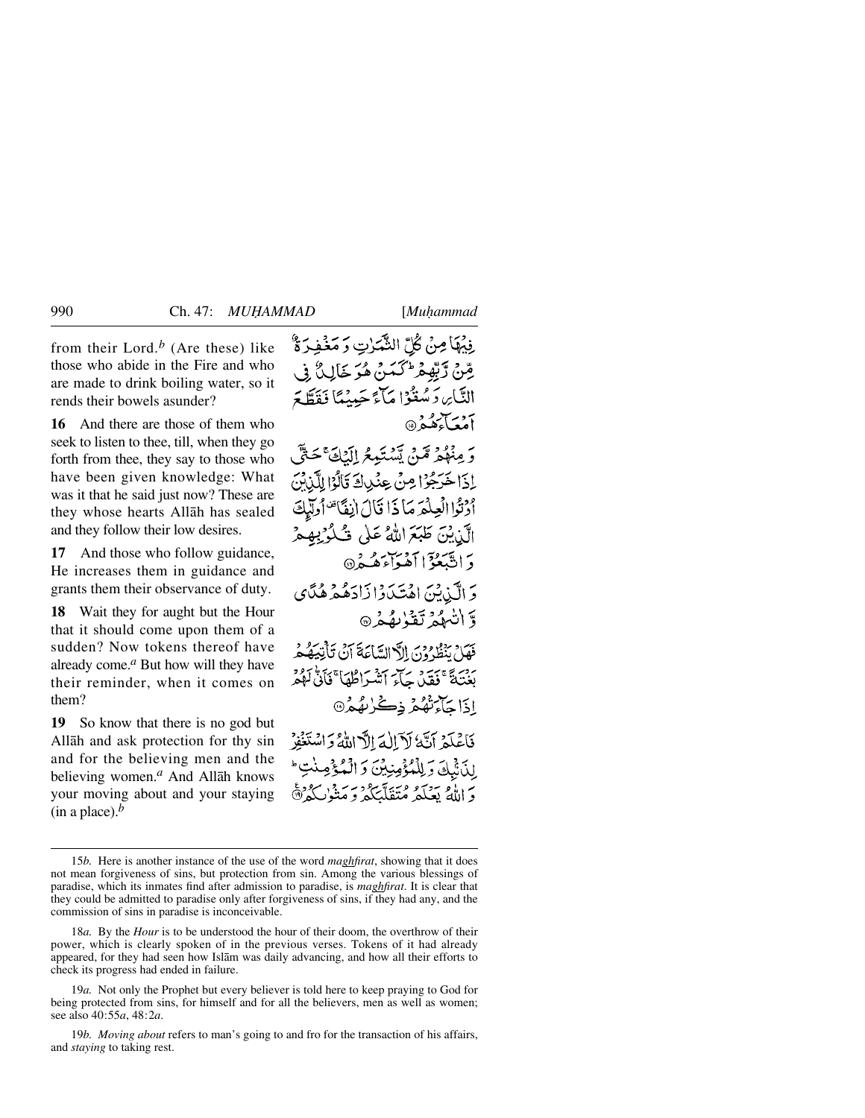from their Lord.*<sup>b</sup>* (Are these) like those who abide in the Fire and who are made to drink boiling water, so it rends their bowels asunder?

**16** And there are those of them who seek to listen to thee, till, when they go forth from thee, they say to those who have been given knowledge: What was it that he said just now? These are they whose hearts Allåh has sealed and they follow their low desires.

**17** And those who follow guidance, He increases them in guidance and grants them their observance of duty.

**18** Wait they for aught but the Hour that it should come upon them of a sudden? Now tokens thereof have already come.*<sup>a</sup>* But how will they have their reminder, when it comes on them?

**19** So know that there is no god but Allåh and ask protection for thy sin and for the believing men and the believing women.*<sup>a</sup>* And Allåh knows your moving about and your staying  $(in a place).<sup>b</sup>$ 

فِيْهَا مِنْ كُلِّ النَّهْدَاتِ وَ مَغْفِدَةٌ قِينْ لَّہِ بِّھُمۡ ۖ مَسَمَنٌ هُوَ خَالِيٌّ ۚ فِي مَآءً حَينُهَاْ فَقَطَّ التَّابِر، دَ مُبِغَدُوْا م دیر کیږي.<br>او د آهغه ه

مِنْهُمْ مَّنْ تَسْتَمِعُ الْيَلْقَ جَهِ إِذَا خَرَجُوْا مِنْ عِنْدِلَةِ قَالَوْا لِلَّذِبْنَ ادْنُوا الْعِيلْهَرَ مَا ذَا قَالَ إِنفَاً تَفَاتُولَّهِ الَّذِيْنَ طَبَعَ اللَّهُ عَلَى فُ لہ جمع دَ اتَّبَعْزَا أَهْوَاءَهُـدُ۞ دَ إِلَيْ بِيْنَ اهْتَيْدَوْا ذَاحَصُوْ هُدَّيْ وَ انْبِهُمْ تَقْدُبِهُمْرٌ ۞

فَهَلَّ بَنْظُرُوْنَ إِلَهَ السَّاعَةَ أَنْ تَأْتِيَهُ هُمْ بِّنْهُمْ ۚ فَقَدْ جَآءَ ٱتَّشْرَاطُهَا ۚ فَأَنَّىٰ لَهُمْ ٳۮؘ**ٳڿٳ**ۧۥٙڷۿؙۿۯ؋ۣڴڒٮۿۿ۞

فَأَعْلَمْ أَنَّهُ لَآ الْهَ إِلَّاللَّهُ وَاسْتَغْفِرْ لِلْأَشْكَ وَلِلْمُؤْمِنِيْنَ وَالْمُؤْ دَ إِذَا مُسْتَوَلِّيْهِ مُتَقَلَّيْكُمْ وَمَنْذَلِكُمْ ثَلَّى

<sup>15</sup>*b.* Here is another instance of the use of the word *maghfirat*, showing that it does not mean forgiveness of sins, but protection from sin. Among the various blessings of paradise, which its inmates find after admission to paradise, is *maghfirat*. It is clear that they could be admitted to paradise only after forgiveness of sins, if they had any, and the commission of sins in paradise is inconceivable.

<sup>18</sup>*a.* By the *Hour* is to be understood the hour of their doom, the overthrow of their power, which is clearly spoken of in the previous verses. Tokens of it had already appeared, for they had seen how Islåm was daily advancing, and how all their efforts to check its progress had ended in failure.

<sup>19</sup>*a.* Not only the Prophet but every believer is told here to keep praying to God for being protected from sins, for himself and for all the believers, men as well as women; see also 40:55*a*, 48:2*a*.

<sup>19</sup>*b. Moving about* refers to man's going to and fro for the transaction of his affairs, and *staying* to taking rest.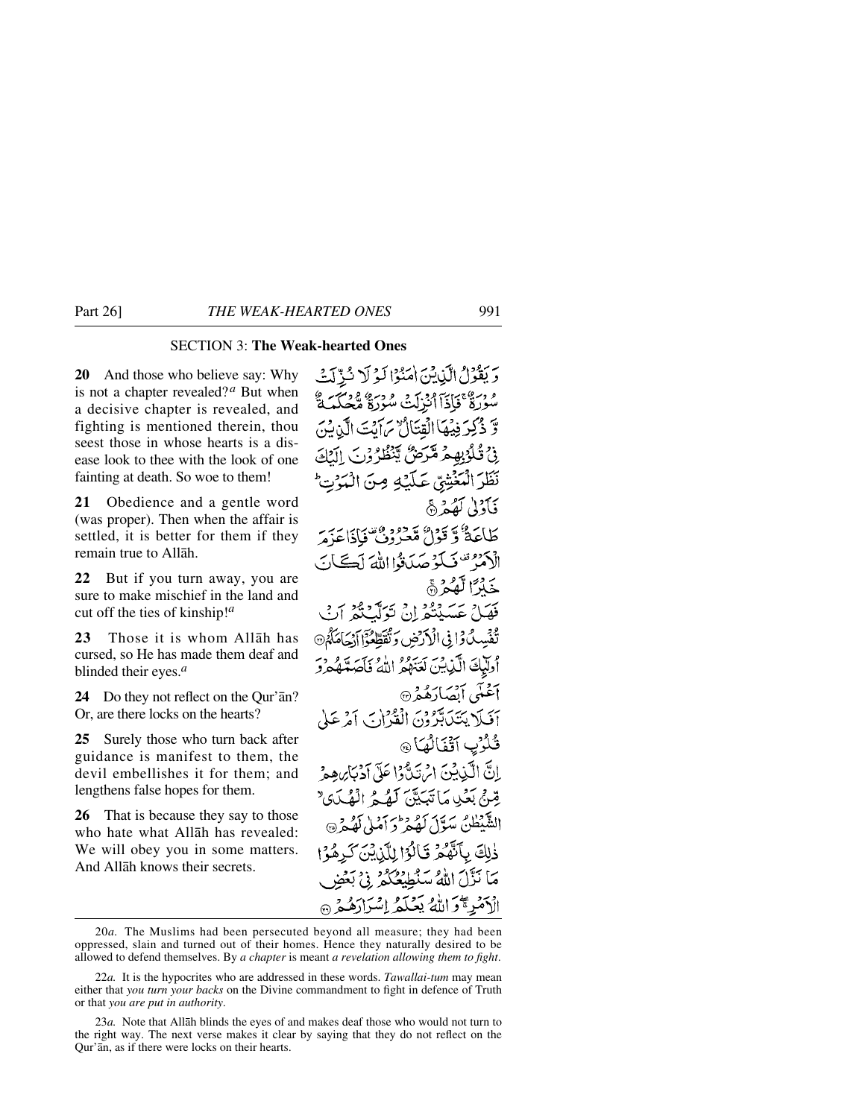## SECTION 3: **The Weak-hearted Ones**

**20** And those who believe say: Why is not a chapter revealed?*<sup>a</sup>* But when a decisive chapter is revealed, and fighting is mentioned therein, thou seest those in whose hearts is a disease look to thee with the look of one fainting at death. So woe to them!

**21** Obedience and a gentle word (was proper). Then when the affair is settled, it is better for them if they remain true to Allåh.

**22** But if you turn away, you are sure to make mischief in the land and cut off the ties of kinship!*<sup>a</sup>*

**23** Those it is whom Allåh has cursed, so He has made them deaf and blinded their eyes.*<sup>a</sup>*

**24** Do they not reflect on the Qur'ån? Or, are there locks on the hearts?

**25** Surely those who turn back after guidance is manifest to them, the devil embellishes it for them; and lengthens false hopes for them.

**26** That is because they say to those who hate what Allåh has revealed: We will obey you in some matters. And Allåh knows their secrets.

وَيَقْوُلُ الَّذِينَ امَنُوْا لَوْلَا ثَرِّلَكَ وْ وَسِيفَاتِيَا أَنْزَلَتْ مُدْدِيَّةٍ وَسَيْئَةٍ وَسَيَكْبَ وَّ ذُكِرَ فِيُهَا الْقِتَالُ مِ ايْتَ الَّذِيْنَ فِي قُلْوُبِهِمْ مَكْرَضٌ يَنْظُرُونَ الْمَكَ نَظَرَ الْمَغْشِيِّ عَلَيْهِ مِنَ الْمَرْتِّ فَأَدْنِي لَهُمْ ۞ كَلَّكَةُ وَقَوْلُ مَّعْزُوفُ فَإِذَاعَزَمَ الكفر تكويمك ثوا الله لكان خَذَرًا لَّهُمْ ۚ بر<br>فَهَلْ عَسَيْتُعْرِلْنِ تَوَلَّيْكُمْ أَبْ تَفْسِدُ وَإِنِّي الْأَدْخِينِ وَتُقَطِّعُوْا آَدْجَاهَكُمْ ۞ وْتَبَاثَ الَّذِينَ لَعَنَهُمْ اللَّهُ فَأَصَدَّهُمْ وَ أَعْنَى أَبْصَارَهُمْ أَفَلَا يَتَكَابَرُونَ الْقُرْآنَ آمَرْعَلَى ثُلُوْبِ آتَفَالُهَا @ إنَّ الْكَبْابِينَ إِمْ يَدُّوا عَلَى آدْيَنَا مِهِ مْ قِينِي بَعْيِدِ مَا تَبَيَّتِيَ كَفَيْحُ الْفَيْدَى ۚ الشَّيْطُنُّ سَوَّلَ لَهُ مِرْحَ آمْلِي لَهُ مِرْ۞ ذٰلِكَ بِأَنَّهُمْ قَالُوْا لِلَّذِينَ كَرِهُوْا مَا نَزَّلَ اللَّهُ سَنُطَيِّعُكُمْ ۚ فِي بَعْضِ الْأَمْرِ مَحْرَاتُهُ يَعْلَمُ إِسْرَارَهُمْ @

<sup>20</sup>*a.* The Muslims had been persecuted beyond all measure; they had been oppressed, slain and turned out of their homes. Hence they naturally desired to be allowed to defend themselves. By *a chapter* is meant *a revelation allowing them to fight*.

<sup>22</sup>*a.* It is the hypocrites who are addressed in these words. *Tawallai-tum* may mean either that *you turn your backs* on the Divine commandment to fight in defence of Truth or that *you are put in authority*.

<sup>23</sup>*a.* Note that Allåh blinds the eyes of and makes deaf those who would not turn to the right way. The next verse makes it clear by saying that they do not reflect on the Qur'ån, as if there were locks on their hearts.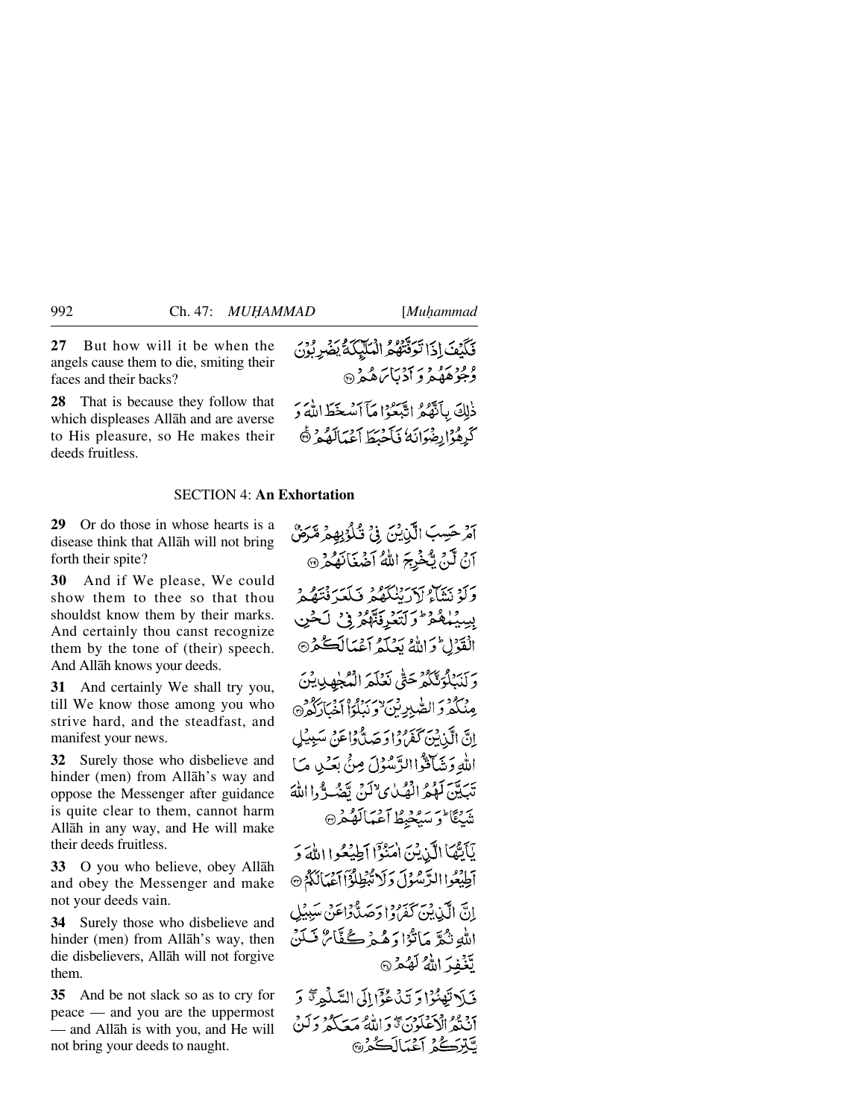**27** But how will it be when the angels cause them to die, smiting their faces and their backs?

**28** That is because they follow that which displeases Allåh and are averse to His pleasure, so He makes their deeds fruitless.

#### SECTION 4: **An Exhortation**

**29** Or do those in whose hearts is a disease think that Allåh will not bring forth their spite?

**30** And if We please, We could show them to thee so that thou shouldst know them by their marks. And certainly thou canst recognize them by the tone of (their) speech. And Allåh knows your deeds.

**31** And certainly We shall try you, till We know those among you who strive hard, and the steadfast, and manifest your news.

**32** Surely those who disbelieve and hinder (men) from Allåh's way and oppose the Messenger after guidance is quite clear to them, cannot harm Allåh in any way, and He will make their deeds fruitless.

**33** O you who believe, obey Allåh and obey the Messenger and make not your deeds vain.

**34** Surely those who disbelieve and hinder (men) from Allåh's way, then die disbelievers, Allåh will not forgive them.

**35** And be not slack so as to cry for peace — and you are the uppermost — and Allåh is with you, and He will not bring your deeds to naught.

آمر حَسِبَ الَّذِينَ فِي تُكْوُبِهِمْ مَّرَضَّ أَنْ لَنْ يَكْخُرِجَ اللَّهُ أَضْغَانَهُمْ ۞ وَلَوْ بَيْنَاءُ إِدْدَانِكُمْ وَيَكْبَدَ نُتَهُمْ بِسِيْلِمُهُوْ وَلَتَعْرِفَتَّهُمْ فِي لَحْنِ الْقَوْلِ وَاللَّهُ بَعْلَهُ أَعْمَالَكُمْ وَلَنَبُلُؤَنَّكُمُ حَتَّى نَعْلَمَ الْمُجْهِلِينَ مِنْكُمْ وَالصّْبِرِينَ ٰوَنَبْلُوْاْ أَخْبَارَكُمْ ۞ إِنَّ الَّذِينَ كَفَرُوْا دَحَهِ لَّهُ وَاعَنْ سَبِيبُلِ اللهِ وَشَاقَوًّا الزَّسُوْلَ مِنْ بِعَبْ هِ مَا تَبَيَّتِهَ كَوْمُ الْصُلْيِ لِأَكُنَّ تَقْهُدَّوُوا اللَّهَ تَنْبَعْ الْمَرْسَبِعْيْطُ آَعْبَالَعْكُفْرِ۞ يَأَيُّهَا الَّذِيْنَ امْنُوْٓا أَطِيْعُوا اللَّهَ وَ آطِيْعُوا الرَّسُوْلَ وَلَا تَّبْطِلُوْٓا آَعَيَالَكُمْ إنَّ الَّذِينَ كَفَرُوا حَصَلُّهُ إِعْنَى سَبِيْلِ اللَّهِ نَثْمًرٌ مَأْنُوْا وَهُمْرِكُفَّائٌ نَسَلَنْ لَّغْفِدَ اللَّهُ لَهُمْنَ فَيَلاَ تَهْنُوْا وَ تَدْعُوْٓا إِلَى السَّلْمِرِةِ ۚ وَ أَنْتُهُ الْكَعَلَوْنَ تَوَاللَّهُ مَعَكُمْ وَلَنْ

لتتركح أغمالككم